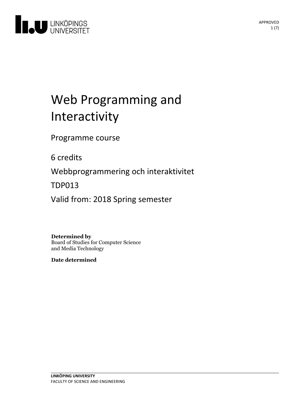

# Web Programming and Interactivity

Programme course

6 credits

Webbprogrammering och interaktivitet

TDP013

Valid from: 2018 Spring semester

**Determined by**

Board of Studies for Computer Science and Media Technology

**Date determined**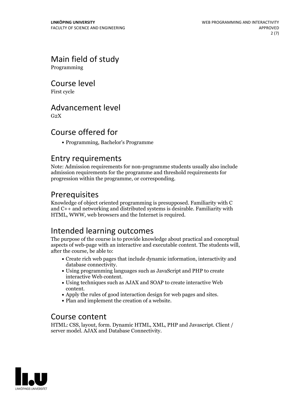# Main field of study

Programming

Course level

First cycle

### Advancement level

 $G<sub>2</sub>X$ 

# Course offered for

Programming, Bachelor's Programme

### Entry requirements

Note: Admission requirements for non-programme students usually also include admission requirements for the programme and threshold requirements for progression within the programme, or corresponding.

# Prerequisites

Knowledge of object oriented programming is presupposed. Familiarity with C and C++ and networking and distributed systems is desirable. Familiarity with HTML, WWW, web browsers and the Internet is required.

# Intended learning outcomes

The purpose of the course is to provide knowledge about practical and conceptual aspects of web-page with an interactive and executable content. The students will, after the course, be able to:

- Create rich web pages that include dynamic information, interactivity and
- database connectivity.<br>• Using programming languages such as JavaScript and PHP to create interactive Web content.
- Using techniques such as AJAX and SOAP to create interactive Web
- content.<br>• Apply the rules of good interaction design for web pages and sites.<br>• Plan and implement the creation of a website.
- 

### Course content

HTML: CSS, layout, form. Dynamic HTML, XML, PHP and Javascript. Client / server model. AJAX and Database Connectivity.

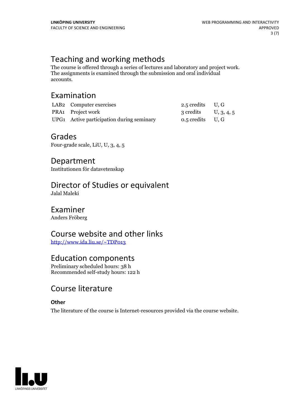# Teaching and working methods

The course is offered through <sup>a</sup> series of lectures and laboratory and project work. The assignments is examined through the submission and oral individual accounts.

# Examination

| LAB <sub>2</sub> Computer exercises       | 2.5 credits $U, G$   |  |
|-------------------------------------------|----------------------|--|
| PRA1 Project work                         | 3 credits U, 3, 4, 5 |  |
| UPG1 Active participation during seminary | $0.5$ credits U, G   |  |

### Grades

Four-grade scale, LiU, U, 3, 4, 5

Department Institutionen för datavetenskap

# Director of Studies or equivalent

Jalal Maleki

## Examiner

Anders Fröberg

# Course website and other links

<http://www.ida.liu.se/~TDP013>

# Education components

Preliminary scheduled hours: 38 h Recommended self-study hours: 122 h

# Course literature

#### **Other**

The literature of the course is Internet-resources provided via the course website.

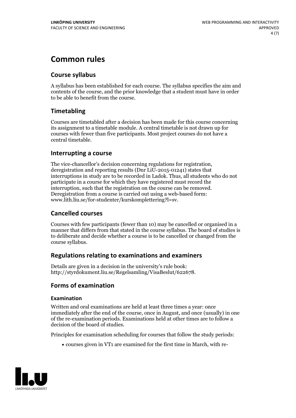# **Common rules**

#### **Course syllabus**

A syllabus has been established for each course. The syllabus specifies the aim and contents of the course, and the prior knowledge that a student must have in order to be able to benefit from the course.

#### **Timetabling**

Courses are timetabled after a decision has been made for this course concerning its assignment to a timetable module. A central timetable is not drawn up for courses with fewer than five participants. Most project courses do not have a central timetable.

#### **Interrupting a course**

The vice-chancellor's decision concerning regulations for registration, deregistration and reporting results (Dnr LiU-2015-01241) states that interruptions in study are to be recorded in Ladok. Thus, all students who do not participate in a course for which they have registered must record the interruption, such that the registration on the course can be removed. Deregistration from <sup>a</sup> course is carried outusing <sup>a</sup> web-based form: www.lith.liu.se/for-studenter/kurskomplettering?l=sv.

#### **Cancelled courses**

Courses with few participants (fewer than 10) may be cancelled or organised in a manner that differs from that stated in the course syllabus. The board of studies is to deliberate and decide whether a course is to be cancelled orchanged from the course syllabus.

#### **Regulations relatingto examinations and examiners**

Details are given in a decision in the university's rule book: http://styrdokument.liu.se/Regelsamling/VisaBeslut/622678.

#### **Forms of examination**

#### **Examination**

Written and oral examinations are held at least three times a year: once immediately after the end of the course, once in August, and once (usually) in one of the re-examination periods. Examinations held at other times are to follow a decision of the board of studies.

Principles for examination scheduling for courses that follow the study periods:

courses given in VT1 are examined for the first time in March, with re-

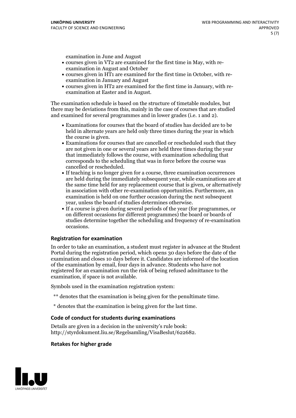examination in June and August

- courses given in VT2 are examined for the first time in May, with re-examination in August and October
- courses given in HT1 are examined for the first time in October, with re-examination in January and August
- courses given in HT2 are examined for the first time in January, with re-examination at Easter and in August.

The examination schedule is based on the structure of timetable modules, but there may be deviations from this, mainly in the case of courses that are studied and examined for several programmes and in lower grades (i.e. 1 and 2).

- Examinations for courses that the board of studies has decided are to be held in alternate years are held only three times during the year in which
- the course is given.<br>• Examinations for courses that are cancelled or rescheduled such that they are not given in one or several years are held three times during the year that immediately follows the course, with examination scheduling that corresponds to the scheduling that was in force before the course was cancelled or rescheduled.<br>• If teaching is no longer given for a course, three examination occurrences
- are held during the immediately subsequent year, while examinations are at the same time held for any replacement course that is given, or alternatively in association with other re-examination opportunities. Furthermore, an examination is held on one further occasion during the next subsequent year, unless the board of studies determines otherwise.<br>• If a course is given during several periods of the year (for programmes, or
- on different occasions for different programmes) the board orboards of studies determine together the scheduling and frequency of re-examination occasions.

#### **Registration for examination**

In order to take an examination, a student must register in advance at the Student Portal during the registration period, which opens 30 days before the date of the examination and closes 10 days before it. Candidates are informed of the location of the examination by email, four days in advance. Students who have not registered for an examination run the risk of being refused admittance to the examination, if space is not available.

Symbols used in the examination registration system:

- \*\* denotes that the examination is being given for the penultimate time.
- \* denotes that the examination is being given for the last time.

#### **Code of conduct for students during examinations**

Details are given in a decision in the university's rule book: http://styrdokument.liu.se/Regelsamling/VisaBeslut/622682.

#### **Retakes for higher grade**

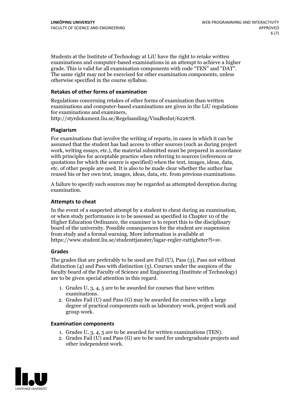Students at the Institute of Technology at LiU have the right to retake written examinations and computer-based examinations in an attempt to achieve a higher grade. This is valid for all examination components with code "TEN" and "DAT". The same right may not be exercised for other examination components, unless otherwise specified in the course syllabus.

#### **Retakes of other forms of examination**

Regulations concerning retakes of other forms of examination than written examinations and computer-based examinations are given in the LiU regulations for examinations and examiners, http://styrdokument.liu.se/Regelsamling/VisaBeslut/622678.

#### **Plagiarism**

For examinations that involve the writing of reports, in cases in which it can be assumed that the student has had access to other sources (such as during project work, writing essays, etc.), the material submitted must be prepared in accordance with principles for acceptable practice when referring to sources (references or quotations for which the source is specified) when the text, images, ideas, data, etc. of other people are used. It is also to be made clear whether the author has reused his or her own text, images, ideas, data, etc. from previous examinations.

A failure to specify such sources may be regarded as attempted deception during examination.

#### **Attempts to cheat**

In the event of <sup>a</sup> suspected attempt by <sup>a</sup> student to cheat during an examination, or when study performance is to be assessed as specified in Chapter <sup>10</sup> of the Higher Education Ordinance, the examiner is to report this to the disciplinary board of the university. Possible consequences for the student are suspension from study and a formal warning. More information is available at https://www.student.liu.se/studenttjanster/lagar-regler-rattigheter?l=sv.

#### **Grades**

The grades that are preferably to be used are Fail (U), Pass (3), Pass not without distinction  $(4)$  and Pass with distinction  $(5)$ . Courses under the auspices of the faculty board of the Faculty of Science and Engineering (Institute of Technology) are to be given special attention in this regard.

- 1. Grades U, 3, 4, 5 are to be awarded for courses that have written
- examinations. 2. Grades Fail (U) and Pass (G) may be awarded for courses with <sup>a</sup> large degree of practical components such as laboratory work, project work and group work.

#### **Examination components**

- 
- 1. Grades U, 3, 4, <sup>5</sup> are to be awarded for written examinations (TEN). 2. Grades Fail (U) and Pass (G) are to be used for undergraduate projects and other independent work.